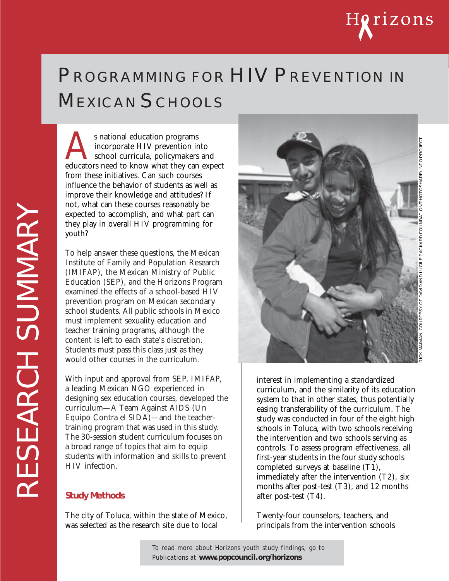# Horizons

## PROGRAMMING FOR HIV PREVENTION IN MEXICAN SCHOOLS

s national education programs<br>
incorporate HIV prevention into<br>
educators need to know what they can expect incorporate HIV prevention into school curricula, policymakers and from these initiatives. Can such courses influence the behavior of students as well as improve their knowledge and attitudes? If not, what can these courses reasonably be expected to accomplish, and what part can they play in overall HIV programming for youth?

To help answer these questions, the Mexican Institute of Family and Population Research (IMIFAP), the Mexican Ministry of Public Education (SEP), and the Horizons Program examined the effects of a school-based HIV prevention program on Mexican secondary school students. All public schools in Mexico must implement sexuality education and teacher training programs, although the content is left to each state's discretion. Students must pass this class just as they would other courses in the curriculum.

With input and approval from SEP, IMIFAP, a leading Mexican NGO experienced in designing sex education courses, developed the curriculum—A Team Against AIDS (Un Equipo Contra el SIDA)—and the teachertraining program that was used in this study. The 30-session student curriculum focuses on a broad range of topics that aim to equip students with information and skills to prevent HIV infection.

#### **Study Methods**

The city of Toluca, within the state of Mexico, was selected as the research site due to local



interest in implementing a standardized curriculum, and the similarity of its education system to that in other states, thus potentially easing transferability of the curriculum. The study was conducted in four of the eight high schools in Toluca, with two schools receiving the intervention and two schools serving as controls. To assess program effectiveness, all first-year students in the four study schools completed surveys at baseline (T1), immediately after the intervention (T2), six months after post-test (T3), and 12 months after post-test (T4).

Twenty-four counselors, teachers, and principals from the intervention schools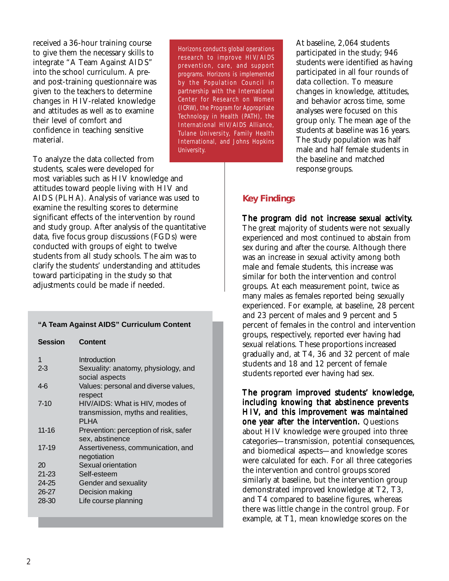received a 36-hour training course to give them the necessary skills to integrate "A Team Against AIDS" into the school curriculum. A preand post-training questionnaire was given to the teachers to determine changes in HIV-related knowledge and attitudes as well as to examine their level of comfort and confidence in teaching sensitive material.

To analyze the data collected from students, scales were developed for most variables such as HIV knowledge and attitudes toward people living with HIV and AIDS (PLHA). Analysis of variance was used to examine the resulting scores to determine significant effects of the intervention by round and study group. After analysis of the quantitative data, five focus group discussions (FGDs) were conducted with groups of eight to twelve students from all study schools. The aim was to clarify the students' understanding and attitudes toward participating in the study so that adjustments could be made if needed.

#### **"A Team Against AIDS" Curriculum Content**

**Session Content**

| Introduction                                                                         |
|--------------------------------------------------------------------------------------|
| Sexuality: anatomy, physiology, and<br>social aspects                                |
| Values: personal and diverse values,<br>respect                                      |
| HIV/AIDS: What is HIV, modes of<br>transmission, myths and realities,<br><b>PLHA</b> |
| Prevention: perception of risk, safer<br>sex, abstinence                             |
| Assertiveness, communication, and<br>negotiation                                     |
| Sexual orientation                                                                   |
| Self-esteem                                                                          |
| Gender and sexuality                                                                 |
| Decision making                                                                      |
| Life course planning                                                                 |
|                                                                                      |

Horizons conducts global operations research to improve HIV/AIDS prevention, care, and support programs. Horizons is implemented by the Population Council in partnership with the International Center for Research on Women (ICRW), the Program for Appropriate Technology in Health (PATH), the International HIV/AIDS Alliance, Tulane University, Family Health International, and Johns Hopkins University.

At baseline, 2,064 students participated in the study; 946 students were identified as having participated in all four rounds of data collection. To measure changes in knowledge, attitudes, and behavior across time, some analyses were focused on this group only. The mean age of the students at baseline was 16 years. The study population was half male and half female students in the baseline and matched response groups.

#### **Key Findings**

The program did not increase sexual activity. The great majority of students were not sexually experienced and most continued to abstain from sex during and after the course. Although there was an increase in sexual activity among both male and female students, this increase was similar for both the intervention and control groups. At each measurement point, twice as many males as females reported being sexually experienced. For example, at baseline, 28 percent and 23 percent of males and 9 percent and 5 percent of females in the control and intervention groups, respectively, reported ever having had sexual relations. These proportions increased gradually and, at T4, 36 and 32 percent of male students and 18 and 12 percent of female students reported ever having had sex.

The program improved students' knowledge, including knowing that abstinence prevents HIV, and this improvement was maintained one year after the intervention. Questions about HIV knowledge were grouped into three categories—transmission, potential consequences, and biomedical aspects—and knowledge scores were calculated for each. For all three categories the intervention and control groups scored similarly at baseline, but the intervention group demonstrated improved knowledge at T2, T3, and T4 compared to baseline figures, whereas there was little change in the control group. For example, at T1, mean knowledge scores on the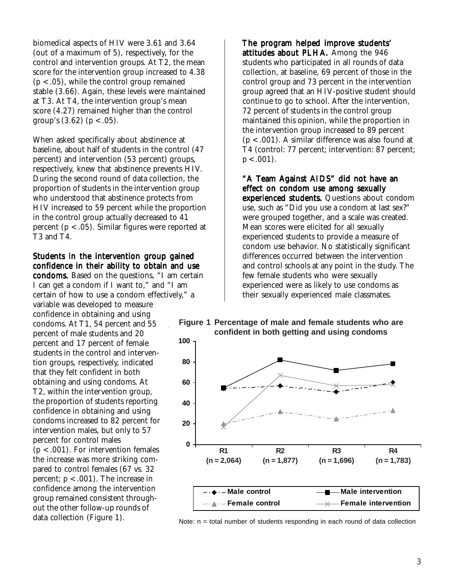biomedical aspects of HIV were 3.61 and 3.64 (out of a maximum of 5), respectively, for the control and intervention groups. At T2, the mean score for the intervention group increased to 4.38  $(p < .05)$ , while the control group remained stable (3.66). Again, these levels were maintained at T3. At T4, the intervention group's mean score (4.27) remained higher than the control group's  $(3.62)$   $(p < .05)$ .

When asked specifically about abstinence at baseline, about half of students in the control (47 percent) and intervention (53 percent) groups, respectively, knew that abstinence prevents HIV. During the second round of data collection, the proportion of students in the intervention group who understood that abstinence protects from HIV increased to 59 percent while the proportion in the control group actually decreased to 41 percent (p < .05). Similar figures were reported at T3 and T4.

#### Students in the intervention group gained confidence in their ability to obtain and use

condoms. Based on the questions, "I am certain I can get a condom if I want to," and "I am certain of how to use a condom effectively," a variable was developed to measure confidence in obtaining and using condoms. At T1, 54 percent and 55 percent of male students and 20 percent and 17 percent of female students in the control and intervention groups, respectively, indicated that they felt confident in both obtaining and using condoms. At T2, within the intervention group, the proportion of students reporting confidence in obtaining and using condoms increased to 82 percent for intervention males, but only to 57 percent for control males  $(p < .001)$ . For intervention females the increase was more striking compared to control females (67 vs. 32 percent;  $p < .001$ ). The increase in confidence among the intervention group remained consistent throughout the other follow-up rounds of

The program helped improve students' attitudes about PLHA. Among the 946 students who participated in all rounds of data collection, at baseline, 69 percent of those in the control group and 73 percent in the intervention group agreed that an HIV-positive student should continue to go to school. After the intervention, 72 percent of students in the control group maintained this opinion, while the proportion in the intervention group increased to 89 percent (p < .001). A similar difference was also found at T4 (control: 77 percent; intervention: 87 percent;  $p < .001$ ).

"A Team Against AIDS" did not have an effect on condom use among sexually experienced students. Questions about condom use, such as "Did you use a condom at last sex?" were grouped together, and a scale was created. Mean scores were elicited for all sexually experienced students to provide a measure of condom use behavior. No statistically significant differences occurred between the intervention and control schools at any point in the study. The few female students who were sexually experienced were as likely to use condoms as their sexually experienced male classmates.

#### **Figure 1 Percentage of male and female students who are confident in both getting and using condoms**



data collection (Figure 1).  $Note: n = total number of students responding in each round of data collection$